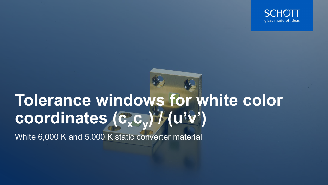

# **Tolerance windows for white color**   $\text{coordinates}$  (c<sub>x</sub>c<sub>y</sub>) / (u<sup>l</sup>v')

White 6,000 K and 5,000 K static converter material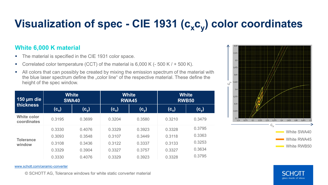## Visualization of spec - CIE 1931 (c<sub>x</sub>c<sub>v</sub>) color coordinates

### **White 6,000 K material**

- The material is specified in the CIE 1931 color space.
- Correlated color temperature (CCT) of the material is  $6,000$  K (- 500 K / + 500 K).
- All colors that can possibly be created by mixing the emission spectrum of the material with the blue laser spectrum define the "color line" of the respective material. These define the height of the spec window.

| 150 µm die<br>thickness           | <b>White</b><br><b>SWA40</b> |                      | <b>White</b><br><b>RWA45</b> |                       | <b>White</b><br><b>RWB50</b> |                  |
|-----------------------------------|------------------------------|----------------------|------------------------------|-----------------------|------------------------------|------------------|
|                                   | $(c_x)$                      | (C $_{\mathrm{v}}$ ) | $\mathsf{(c_x)}$             | $(\mathsf{c}^\wedge)$ | $(c_x)$                      | $(\mathsf{c_v})$ |
| <b>White color</b><br>coordinates | 0.3195                       | 0.3699               | 0.3204                       | 0.3580                | 0.3210                       | 0.3479           |
| <b>Tolerance</b><br>window        | 0.3330                       | 0.4076               | 0.3329                       | 0.3923                | 0.3328                       | 0.3795           |
|                                   | 0.3093                       | 0.3548               | 0.3107                       | 0.3449                | 0.3118                       | 0.3363           |
|                                   | 0.3108                       | 0.3436               | 0.3122                       | 0.3337                | 0.3133                       | 0.3253           |
|                                   | 0.3329                       | 0.3904               | 0.3327                       | 0.3757                | 0.3327                       | 0.3634           |
|                                   | 0.3330                       | 0.4076               | 0.3329                       | 0.3923                | 0.3328                       | 0.3795           |



[www.schott.com/ceramic-converter](http://www.schott.com/ceramic-converter)

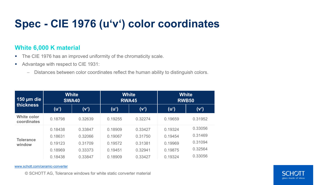### **Spec - CIE 1976 (u'v') color coordinates**

### **White 6,000 K material**

- The CIE 1976 has an improved uniformity of the chromaticity scale.
- Advantage with respect to CIE 1931:
	- − Distances between color coordinates reflect the human ability to distinguish colors.

| 150 $\mu$ m die<br><b>thickness</b> | <b>White</b><br><b>SWA40</b> |         | <b>White</b><br><b>RWA45</b> |         | <b>White</b><br><b>RWB50</b> |         |
|-------------------------------------|------------------------------|---------|------------------------------|---------|------------------------------|---------|
|                                     | (u')                         | (V')    | (u')                         | (V')    | $(u^{\prime})$               | (V')    |
| <b>White color</b><br>coordinates   | 0.18798                      | 0.32639 | 0.19255                      | 0.32274 | 0.19659                      | 0.31952 |
| <b>Tolerance</b><br>window          | 0.18438                      | 0.33847 | 0.18909                      | 0.33427 | 0.19324                      | 0.33056 |
|                                     | 0.18631                      | 0.32066 | 0.19067                      | 0.31750 | 0.19454                      | 0.31469 |
|                                     | 0.19123                      | 0.31709 | 0.19572                      | 0.31381 | 0.19969                      | 0.31094 |
|                                     | 0.18969                      | 0.33373 | 0.19451                      | 0.32941 | 0.19875                      | 0.32564 |
|                                     | 0.18438                      | 0.33847 | 0.18909                      | 0.33427 | 0.19324                      | 0.33056 |

[www.schott.com/ceramic-converter](http://www.schott.com/ceramic-converter)

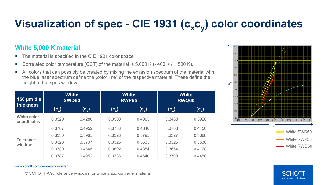# Visualization of spec - CIE 1931 (c<sub>x</sub>c<sub>y</sub>) color coordinates

### **White 5,000 K material**

- The material is specified in the CIE 1931 color space.
- Correlated color temperature (CCT) of the material is  $5,000$  K (-400 K / + 500 K).
- All colors that can possibly be created by mixing the emission spectrum of the material with the blue laser spectrum define the "color line" of the respective material. These define the height of the spec window.

| 150 $\mu$ m die<br>thickness | <b>White</b><br><b>SWD50</b> |                       | <b>White</b><br><b>RWP55</b> |                                                          | <b>White</b><br><b>RWQ60</b>      |                       |
|------------------------------|------------------------------|-----------------------|------------------------------|----------------------------------------------------------|-----------------------------------|-----------------------|
|                              | $(c_{x})$                    | $(\mathsf{c}^\wedge)$ | $(c_x)$                      | $(\mathsf{c}\vphantom{\tilde{\mathsf{c}}}_{\mathsf{v}})$ | $\overline{\left( c_{x}\right) }$ | $(\mathsf{c}^\wedge)$ |
| White color<br>coordinates   | 0.3520                       | 0.4286                | 0.3500                       | 0.4063                                                   | 0.3488                            | 0.3926                |
| <b>Tolerance</b><br>window   | 0.3787                       | 0.4952                | 0.3738                       | 0.4640                                                   | 0.3708                            | 0.4450                |
|                              | 0.3330                       | 0.3965                | 0.3328                       | 0.3795                                                   | 0.3327                            | 0.3688                |
|                              | 0.3328                       | 0.3797                | 0.3326                       | 0.3633                                                   | 0.3326                            | 0.3530                |
|                              | 0.3739                       | 0.4645                | 0.3692                       | 0.4354                                                   | 0.3664                            | 0.4178                |
|                              | 0.3787                       | 0.4952                | 0.3738                       | 0.4640                                                   | 0.3708                            | 0.4450                |



#### [www.schott.com/ceramic-converter](http://www.schott.com/ceramic-converter)